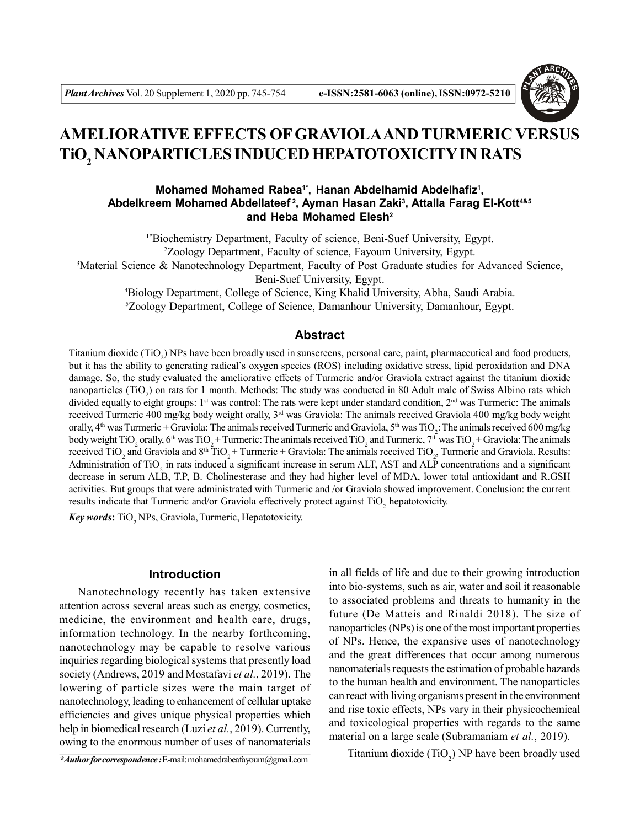

# **AMELIORATIVE EFFECTS OF GRAVIOLAAND TURMERIC VERSUS TiO<sup>2</sup> NANOPARTICLES INDUCED HEPATOTOXICITY IN RATS**

# **Mohamed Mohamed Rabea1\*, Hanan Abdelhamid Abdelhafiz<sup>1</sup> , Abdelkreem Mohamed Abdellateef<sup>2</sup>, Ayman Hasan Zaki<sup>3</sup> , Attalla Farag El-Kott4&5 and Heba Mohamed Elesh<sup>2</sup>**

1\*Biochemistry Department, Faculty of science, Beni-Suef University, Egypt. <sup>2</sup>Zoology Department, Faculty of science, Fayoum University, Egypt. <sup>3</sup>Material Science & Nanotechnology Department, Faculty of Post Graduate studies for Advanced Science,

Beni-Suef University, Egypt.

<sup>4</sup>Biology Department, College of Science, King Khalid University, Abha, Saudi Arabia. <sup>5</sup>Zoology Department, College of Science, Damanhour University, Damanhour, Egypt.

# **Abstract**

Titanium dioxide  $(TiO_2)$  NPs have been broadly used in sunscreens, personal care, paint, pharmaceutical and food products, but it has the ability to generating radical's oxygen species (ROS) including oxidative stress, lipid peroxidation and DNA damage. So, the study evaluated the ameliorative effects of Turmeric and/or Graviola extract against the titanium dioxide nanoparticles  $(TiO_2)$  on rats for 1 month. Methods: The study was conducted in 80 Adult male of Swiss Albino rats which divided equally to eight groups:  $1<sup>st</sup>$  was control: The rats were kept under standard condition,  $2<sup>nd</sup>$  was Turmeric: The animals received Turmeric 400 mg/kg body weight orally, 3rd was Graviola: The animals received Graviola 400 mg/kg body weight orally,  $4^{\text{th}}$  was Turmeric + Graviola: The animals received Turmeric and Graviola,  $5^{\text{th}}$  was TiO<sub>2</sub>: The animals received 600 mg/kg body weight TiO<sub>2</sub> orally,  $6^{\text{th}}$  was TiO<sub>2</sub> + Turmeric: The animals received TiO<sub>2</sub> and Turmeric, 7<sup>th</sup> was TiO<sub>2</sub> + Graviola: The animals received TiO<sub>2</sub> and Graviola and  $8<sup>th</sup> TiO<sub>2</sub> + Turreric + Graviola$ . The animals received TiO<sub>2</sub>, Turmeric and Graviola. Results: Administration of  $TiO<sub>2</sub>$  in rats induced a significant increase in serum ALT, AST and ALP concentrations and a significant decrease in serum ALB, T.P, B. Cholinesterase and they had higher level of MDA, lower total antioxidant and R.GSH activities. But groups that were administrated with Turmeric and /or Graviola showed improvement. Conclusion: the current results indicate that Turmeric and/or Graviola effectively protect against  $TiO<sub>2</sub>$  hepatotoxicity.

**Key words:** TiO<sub>2</sub> NPs, Graviola, Turmeric, Hepatotoxicity.

# **Introduction**

Nanotechnology recently has taken extensive attention across several areas such as energy, cosmetics, medicine, the environment and health care, drugs, information technology. In the nearby forthcoming, nanotechnology may be capable to resolve various inquiries regarding biological systems that presently load society (Andrews, 2019 and Mostafavi *et al.*, 2019). The lowering of particle sizes were the main target of nanotechnology, leading to enhancement of cellular uptake efficiencies and gives unique physical properties which help in biomedical research (Luzi *et al.*, 2019). Currently, owing to the enormous number of uses of nanomaterials

*\*Author for correspondence :* E-mail: mohamedrabeafayoum@gmail.com

in all fields of life and due to their growing introduction into bio-systems, such as air, water and soil it reasonable to associated problems and threats to humanity in the future (De Matteis and Rinaldi 2018). The size of nanoparticles (NPs) is one of the most important properties of NPs. Hence, the expansive uses of nanotechnology and the great differences that occur among numerous nanomaterials requests the estimation of probable hazards to the human health and environment. The nanoparticles can react with living organisms present in the environment and rise toxic effects, NPs vary in their physicochemical and toxicological properties with regards to the same material on a large scale (Subramaniam *et al.*, 2019).

Titanium dioxide  $(TiO_2)$  NP have been broadly used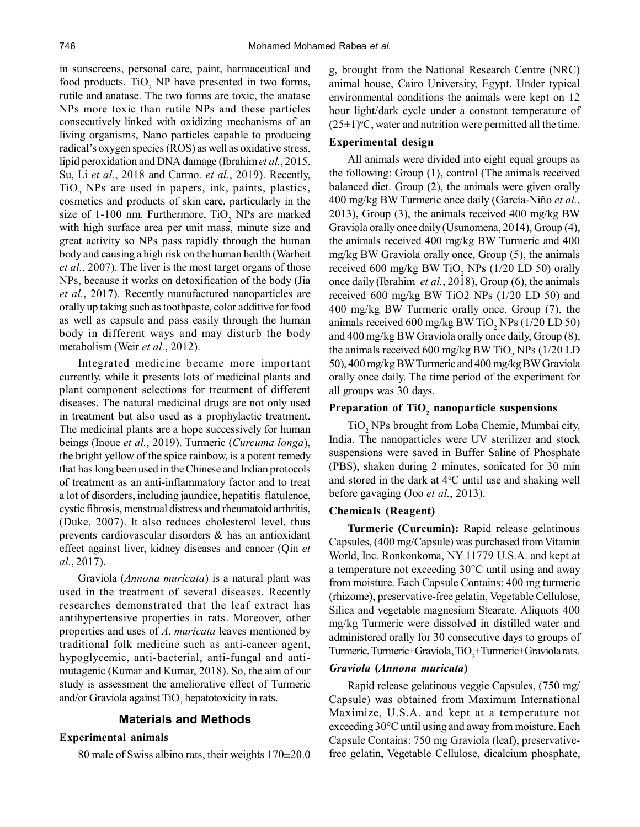in sunscreens, personal care, paint, harmaceutical and food products.  $TiO<sub>2</sub>$  NP have presented in two forms, rutile and anatase. The two forms are toxic, the anatase NPs more toxic than rutile NPs and these particles consecutively linked with oxidizing mechanisms of an living organisms, Nano particles capable to producing radical's oxygen species (ROS) as well as oxidative stress, lipid peroxidation and DNA damage (Ibrahim *et al.*, 2015. Su, Li *et al.*, 2018 and Carmo. *et al.*, 2019). Recently,  $TiO<sub>2</sub>$  NPs are used in papers, ink, paints, plastics, cosmetics and products of skin care, particularly in the size of 1-100 nm. Furthermore,  $TiO<sub>2</sub>$  NPs are marked with high surface area per unit mass, minute size and great activity so NPs pass rapidly through the human body and causing a high risk on the human health (Warheit *et al.*, 2007). The liver is the most target organs of those NPs, because it works on detoxification of the body (Jia *et al.*, 2017). Recently manufactured nanoparticles are orally up taking such as toothpaste, color additive for food as well as capsule and pass easily through the human body in different ways and may disturb the body metabolism (Weir *et al.*, 2012).

Integrated medicine became more important currently, while it presents lots of medicinal plants and plant component selections for treatment of different diseases. The natural medicinal drugs are not only used in treatment but also used as a prophylactic treatment. The medicinal plants are a hope successively for human beings (Inoue *et al.*, 2019). Turmeric (*Curcuma longa*), the bright yellow of the spice rainbow, is a potent remedy that has long been used in the Chinese and Indian protocols of treatment as an anti-inflammatory factor and to treat a lot of disorders, including jaundice, hepatitis flatulence, cystic fibrosis, menstrual distress and rheumatoid arthritis, (Duke, 2007). It also reduces cholesterol level, thus prevents cardiovascular disorders & has an antioxidant effect against liver, kidney diseases and cancer (Qin *et al.*, 2017).

Graviola (*Annona muricata*) is a natural plant was used in the treatment of several diseases. Recently researches demonstrated that the leaf extract has antihypertensive properties in rats. Moreover, other properties and uses of *A. muricata* leaves mentioned by traditional folk medicine such as anti-cancer agent, hypoglycemic, anti-bacterial, anti-fungal and antimutagenic (Kumar and Kumar, 2018). So, the aim of our study is assessment the ameliorative effect of Turmeric and/or Graviola against  $TiO_2$  hepatotoxicity in rats.

#### **Materials and Methods**

#### **Experimental animals**

80 male of Swiss albino rats, their weights  $170\pm20.0$ 

g, brought from the National Research Centre (NRC) animal house, Cairo University, Egypt. Under typical environmental conditions the animals were kept on 12 hour light/dark cycle under a constant temperature of  $(25\pm1)$ <sup>o</sup>C, water and nutrition were permitted all the time.

#### **Experimental design**

All animals were divided into eight equal groups as the following: Group (1), control (The animals received balanced diet. Group (2), the animals were given orally 400 mg/kg BW Turmeric once daily (García-Niño *et al.*, 2013), Group (3), the animals received 400 mg/kg BW Graviola orally once daily (Usunomena, 2014), Group (4), the animals received 400 mg/kg BW Turmeric and 400 mg/kg BW Graviola orally once, Group (5), the animals received 600 mg/kg BW TiO<sub>2</sub> NPs (1/20 LD 50) orally once daily (Ibrahim *et al.*, 2018), Group (6), the animals received 600 mg/kg BW TiO2 NPs (1/20 LD 50) and 400 mg/kg BW Turmeric orally once, Group (7), the animals received 600 mg/kg BW TiO<sub>2</sub> NPs (1/20 LD 50) and 400 mg/kg BW Graviola orally once daily, Group (8), the animals received 600 mg/kg BW TiO<sub>2</sub> NPs (1/20 LD 50), 400 mg/kg BW Turmeric and 400 mg/kg BW Graviola orally once daily. The time period of the experiment for all groups was 30 days.

# **Preparation of TiO<sup>2</sup> nanoparticle suspensions**

TiO<sub>2</sub> NPs brought from Loba Chemie, Mumbai city, India. The nanoparticles were UV sterilizer and stock suspensions were saved in Buffer Saline of Phosphate (PBS), shaken during 2 minutes, sonicated for 30 min and stored in the dark at  $4^{\circ}$ C until use and shaking well before gavaging (Joo *et al.*, 2013).

#### **Chemicals (Reagent)**

**Turmeric (Curcumin):** Rapid release gelatinous Capsules, (400 mg/Capsule) was purchased from Vitamin World, Inc. Ronkonkoma, NY 11779 U.S.A. and kept at a temperature not exceeding 30°C until using and away from moisture. Each Capsule Contains: 400 mg turmeric (rhizome), preservative-free gelatin, Vegetable Cellulose, Silica and vegetable magnesium Stearate. Aliquots 400 mg/kg Turmeric were dissolved in distilled water and administered orally for 30 consecutive days to groups of Turmeric, Turmeric+Graviola, TiO<sub>2</sub>+Turmeric+Graviola rats.

#### *Graviola* **(***Annona muricata***)**

Rapid release gelatinous veggie Capsules, (750 mg/ Capsule) was obtained from Maximum International Maximize, U.S.A. and kept at a temperature not exceeding 30°C until using and away from moisture. Each Capsule Contains: 750 mg Graviola (leaf), preservativefree gelatin, Vegetable Cellulose, dicalcium phosphate,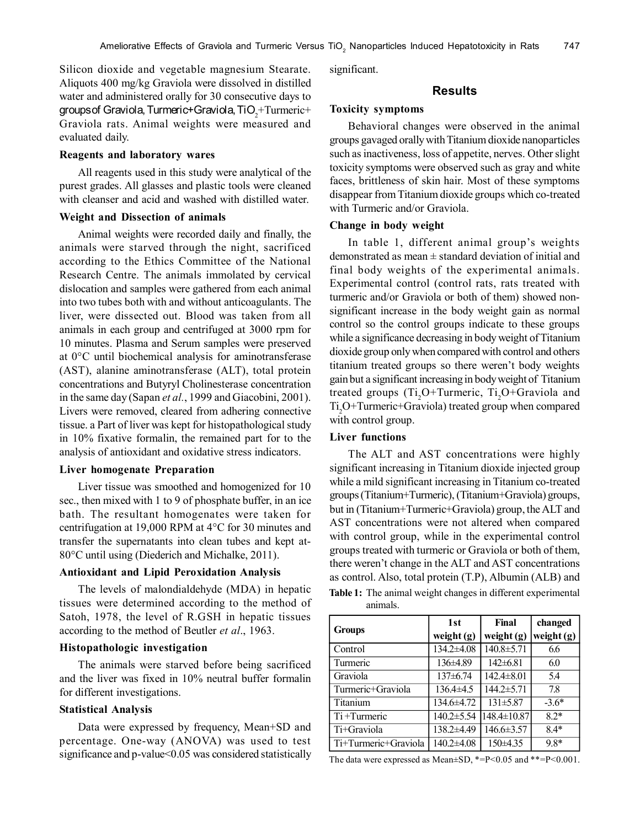Silicon dioxide and vegetable magnesium Stearate. Aliquots 400 mg/kg Graviola were dissolved in distilled water and administered orally for 30 consecutive days to groups of Graviola, Turmeric+Graviola, Ti $\mathrm{O}_2^{\mathrm{+T} \mathrm{u} \mathrm{r} \mathrm{m} \mathrm{e} \mathrm{r} \mathrm{i} \mathrm{c}+}$ Graviola rats. Animal weights were measured and evaluated daily.

#### **Reagents and laboratory wares**

All reagents used in this study were analytical of the purest grades. All glasses and plastic tools were cleaned with cleanser and acid and washed with distilled water.

#### **Weight and Dissection of animals**

Animal weights were recorded daily and finally, the animals were starved through the night, sacrificed according to the Ethics Committee of the National Research Centre. The animals immolated by cervical dislocation and samples were gathered from each animal into two tubes both with and without anticoagulants. The liver, were dissected out. Blood was taken from all animals in each group and centrifuged at 3000 rpm for 10 minutes. Plasma and Serum samples were preserved at 0°C until biochemical analysis for aminotransferase (AST), alanine aminotransferase (ALT), total protein concentrations and Butyryl Cholinesterase concentration in the same day (Sapan *et al.*, 1999 and Giacobini, 2001). Livers were removed, cleared from adhering connective tissue. a Part of liver was kept for histopathological study in 10% fixative formalin, the remained part for to the analysis of antioxidant and oxidative stress indicators.

#### **Liver homogenate Preparation**

Liver tissue was smoothed and homogenized for 10 sec., then mixed with 1 to 9 of phosphate buffer, in an ice bath. The resultant homogenates were taken for centrifugation at 19,000 RPM at 4°C for 30 minutes and transfer the supernatants into clean tubes and kept at-80°C until using (Diederich and Michalke, 2011).

#### **Antioxidant and Lipid Peroxidation Analysis**

The levels of malondialdehyde (MDA) in hepatic tissues were determined according to the method of Satoh, 1978, the level of R.GSH in hepatic tissues according to the method of Beutler *et al*., 1963.

## **Histopathologic investigation**

The animals were starved before being sacrificed and the liver was fixed in 10% neutral buffer formalin for different investigations.

#### **Statistical Analysis**

Data were expressed by frequency, Mean+SD and percentage. One-way (ANOVA) was used to test significance and p-value<0.05 was considered statistically significant.

#### **Results**

#### **Toxicity symptoms**

Behavioral changes were observed in the animal groups gavaged orally with Titanium dioxide nanoparticles such as inactiveness, loss of appetite, nerves. Other slight toxicity symptoms were observed such as gray and white faces, brittleness of skin hair. Most of these symptoms disappear from Titanium dioxide groups which co-treated with Turmeric and/or Graviola.

#### **Change in body weight**

In table 1, different animal group's weights demonstrated as mean  $\pm$  standard deviation of initial and final body weights of the experimental animals. Experimental control (control rats, rats treated with turmeric and/or Graviola or both of them) showed nonsignificant increase in the body weight gain as normal control so the control groups indicate to these groups while a significance decreasing in body weight of Titanium dioxide group only when compared with control and others titanium treated groups so there weren't body weights gain but a significant increasing in body weight of Titanium treated groups  $(Ti, O+Turr, Ti, O+Graviola$  and Ti<sub>2</sub>O+Turmeric+Graviola) treated group when compared with control group.

#### **Liver functions**

The ALT and AST concentrations were highly significant increasing in Titanium dioxide injected group while a mild significant increasing in Titanium co-treated groups (Titanium+Turmeric), (Titanium+Graviola) groups, but in (Titanium+Turmeric+Graviola) group, the ALT and AST concentrations were not altered when compared with control group, while in the experimental control groups treated with turmeric or Graviola or both of them, there weren't change in the ALT and AST concentrations as control. Also, total protein (T.P), Albumin (ALB) and **Table 1:** The animal weight changes in different experimental animals.

|                      | 1st           | Final          | changed      |  |
|----------------------|---------------|----------------|--------------|--|
| <b>Groups</b>        | weight $(g)$  | weight $(g)$   | weight $(g)$ |  |
| Control              | 134.2±4.08    | 140.8±5.71     | 6.6          |  |
| Turmeric             | $136\pm4.89$  | $142 \pm 6.81$ | 6.0          |  |
| Graviola             | $137\pm 6.74$ | 142.4±8.01     | 5.4          |  |
| Turmeric+Graviola    | $136.4\pm4.5$ | 144.2±5.71     | 7.8          |  |
| Titanium             | 134.6±4.72    | $131 \pm 5.87$ | $-3.6*$      |  |
| Ti+Turmeric          | 140.2±5.54    | 148.4±10.87    | $82*$        |  |
| Ti+Graviola          | 138.2±4.49    | 146.6±3.57     | $8.4*$       |  |
| Ti+Turmeric+Graviola | 140.2±4.08    | $150\pm4.35$   | 9.8*         |  |

The data were expressed as Mean±SD, \*=P<0.05 and \*\*=P<0.001.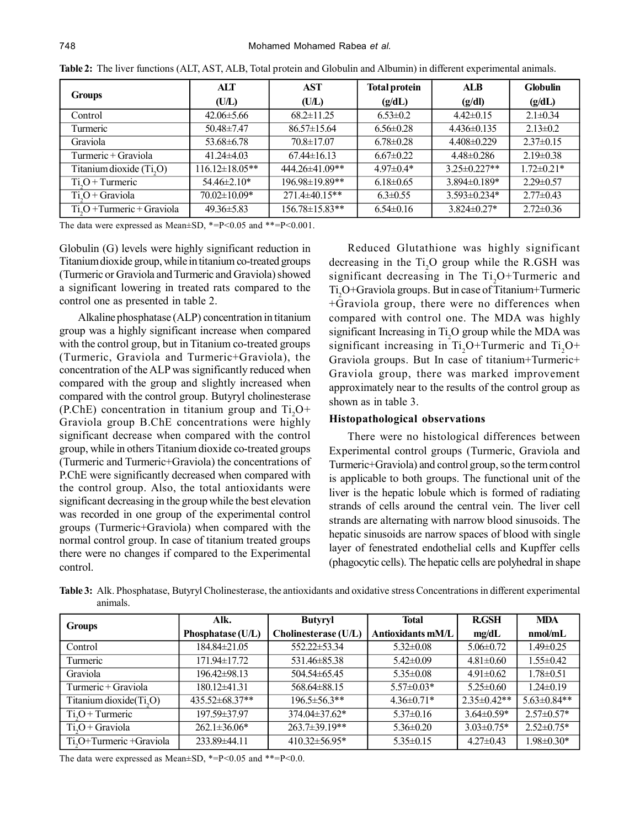| <b>Groups</b>                | ALT                   | AST                  | <b>Total protein</b> | ALB                | <b>Globulin</b>  |
|------------------------------|-----------------------|----------------------|----------------------|--------------------|------------------|
|                              | (UL)                  | (UL)                 | (g/dL)               | (g/dl)             | (g/dL)           |
| Control                      | $42.06 \pm 5.66$      | $68.2 \pm 11.25$     | $6.53 \pm 0.2$       | $4.42 \pm 0.15$    | $2.1 \pm 0.34$   |
| Turmeric                     | $50.48 \pm 7.47$      | $86.57 \pm 15.64$    | $6.56 \pm 0.28$      | $4.436\pm0.135$    | $2.13 \pm 0.2$   |
| Graviola                     | $53.68 \pm 6.78$      | $70.8 \pm 17.07$     | $6.78 \pm 0.28$      | $4.408\pm0.229$    | $2.37 \pm 0.15$  |
| Turmeric + Graviola          | $41.24 \pm 4.03$      | $67.44 \pm 16.13$    | $6.67 \pm 0.22$      | $4.48 \pm 0.286$   | $2.19 \pm 0.38$  |
| Titanium dioxide $(Ti, O)$   | $116.12 \pm 18.05$ ** | 444.26±41.09**       | $4.97 \pm 0.4*$      | $3.25 \pm 0.227**$ | $1.72 \pm 0.21*$ |
| $Ti.O+T$ urmeric             | $54.46 \pm 2.10*$     | 196.98±19.89**       | $6.18 \pm 0.65$      | $3.894\pm0.189*$   | $2.29 \pm 0.57$  |
| $Ti2O + Graviola$            | $70.02 \pm 10.09*$    | 271.4±40.15**        | $6.3 \pm 0.55$       | $3.593 \pm 0.234*$ | $2.77 \pm 0.43$  |
| $Ti2O + Turrence + Graviola$ | $49.36 \pm 5.83$      | $156.78 \pm 15.83**$ | $6.54 \pm 0.16$      | $3.824 \pm 0.27$ * | $2.72 \pm 0.36$  |

**Table 2:** The liver functions (ALT, AST, ALB, Total protein and Globulin and Albumin) in different experimental animals.

The data were expressed as Mean $\pm$ SD, \*=P<0.05 and \*\*=P<0.001.

Globulin (G) levels were highly significant reduction in Titanium dioxide group, while in titanium co-treated groups (Turmeric or Graviola and Turmeric and Graviola) showed a significant lowering in treated rats compared to the control one as presented in table 2.

Alkaline phosphatase (ALP) concentration in titanium group was a highly significant increase when compared with the control group, but in Titanium co-treated groups (Turmeric, Graviola and Turmeric+Graviola), the concentration of the ALP was significantly reduced when compared with the group and slightly increased when compared with the control group. Butyryl cholinesterase  $(P.ChE)$  concentration in titanium group and  $Ti, O<sup>+</sup>$ Graviola group B.ChE concentrations were highly significant decrease when compared with the control group, while in others Titanium dioxide co-treated groups (Turmeric and Turmeric+Graviola) the concentrations of P.ChE were significantly decreased when compared with the control group. Also, the total antioxidants were significant decreasing in the group while the best elevation was recorded in one group of the experimental control groups (Turmeric+Graviola) when compared with the normal control group. In case of titanium treated groups there were no changes if compared to the Experimental control.

Reduced Glutathione was highly significant decreasing in the  $Ti<sub>2</sub>O$  group while the R.GSH was significant decreasing in The  $Ti$ <sub>2</sub>O+Turmeric and Ti<sub>2</sub>O+Graviola groups. But in case of Titanium+Turmeric +Graviola group, there were no differences when compared with control one. The MDA was highly significant Increasing in Ti<sub>2</sub>O group while the MDA was significant increasing in  $Ti$ <sub>2</sub>O+Turmeric and  $Ti$ <sub>2</sub>O+ Graviola groups. But In case of titanium+Turmeric+ Graviola group, there was marked improvement approximately near to the results of the control group as shown as in table 3.

# **Histopathological observations**

There were no histological differences between Experimental control groups (Turmeric, Graviola and Turmeric+Graviola) and control group, so the term control is applicable to both groups. The functional unit of the liver is the hepatic lobule which is formed of radiating strands of cells around the central vein. The liver cell strands are alternating with narrow blood sinusoids. The hepatic sinusoids are narrow spaces of blood with single layer of fenestrated endothelial cells and Kupffer cells (phagocytic cells). The hepatic cells are polyhedral in shape

**Table 3:** Alk. Phosphatase, Butyryl Cholinesterase, the antioxidants and oxidative stress Concentrations in different experimental animals.

| <b>Groups</b>                        | Alk.                | <b>Butyryl</b>       | <b>Total</b>             | <b>R.GSH</b>      | <b>MDA</b>       |
|--------------------------------------|---------------------|----------------------|--------------------------|-------------------|------------------|
|                                      | Phosphatase (U/L)   | Cholinesterase (U/L) | <b>Antioxidants mM/L</b> | mg/dL             | nmol/mL          |
| Control                              | 184.84±21.05        | 552.22±53.34         | $5.32 \pm 0.08$          | $5.06 \pm 0.72$   | $1.49 \pm 0.25$  |
| Turmeric                             | 171.94±17.72        | 531.46 $\pm$ 85.38   | $5.42 \pm 0.09$          | $4.81 \pm 0.60$   | $1.55 \pm 0.42$  |
| Graviola                             | 196.42±98.13        | 504.54±65.45         | $5.35 \pm 0.08$          | $4.91 \pm 0.62$   | $1.78 \pm 0.51$  |
| Turmeric + Graviola                  | 180.12±41.31        | 568.64±88.15         | $5.57 \pm 0.03*$         | $5.25 \pm 0.60$   | $1.24 \pm 0.19$  |
| Titanium dioxide $(Ti, O)$           | $435.52\pm 68.37**$ | $196.5 \pm 56.3$ **  | $4.36 \pm 0.71*$         | $2.35\pm0.42**$   | $5.63\pm0.84**$  |
| $Ti.O+T$ urmeric                     | 197.59±37.97        | 374.04±37.62*        | $5.37 \pm 0.16$          | $3.64\pm0.59*$    | $2.57\pm 0.57*$  |
| $Ti.O+Graviola$                      | $262.1 \pm 36.06*$  | $263.7 \pm 39.19**$  | $5.36 \pm 0.20$          | $3.03 \pm 0.75$ * | $2.52\pm0.75*$   |
| Ti <sub>s</sub> O+Turmeric +Graviola | 233.89±44.11        | $410.32 \pm 56.95*$  | $5.35 \pm 0.15$          | $4.27\pm0.43$     | $1.98 \pm 0.30*$ |

The data were expressed as Mean $\pm$ SD, \*=P<0.05 and \*\*=P<0.0.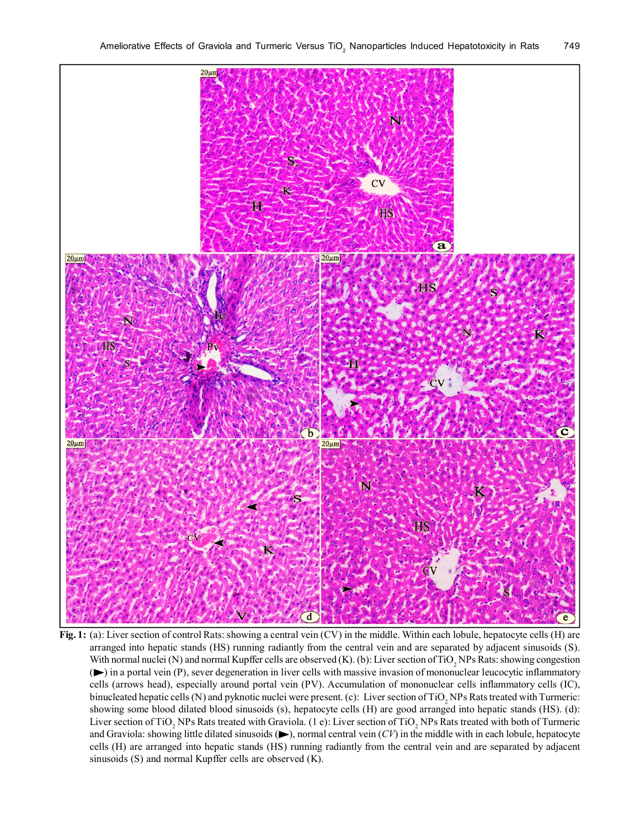

**Fig. 1:** (a): Liver section of control Rats: showing a central vein (CV) in the middle. Within each lobule, hepatocyte cells (H) are arranged into hepatic stands (HS) running radiantly from the central vein and are separated by adjacent sinusoids (S). With normal nuclei (N) and normal Kupffer cells are observed (K). (b): Liver section of TiO<sub>2</sub> NPs Rats: showing congestion ( ) in a portal vein (P), sever degeneration in liver cells with massive invasion of mononuclear leucocytic inflammatory cells (arrows head), especially around portal vein (PV). Accumulation of mononuclear cells inflammatory cells (IC), binucleated hepatic cells (N) and pyknotic nuclei were present. (c): Liver section of TiO<sub>2</sub> NPs Rats treated with Turmeric: showing some blood dilated blood sinusoids (s), hepatocyte cells (H) are good arranged into hepatic stands (HS). (d): Liver section of TiO<sub>2</sub> NPs Rats treated with Graviola. (1 e): Liver section of TiO<sub>2</sub> NPs Rats treated with both of Turmeric and Graviola: showing little dilated sinusoids  $(\blacktriangleright)$ , normal central vein  $(CV)$  in the middle with in each lobule, hepatocyte cells (H) are arranged into hepatic stands (HS) running radiantly from the central vein and are separated by adjacent sinusoids (S) and normal Kupffer cells are observed (K).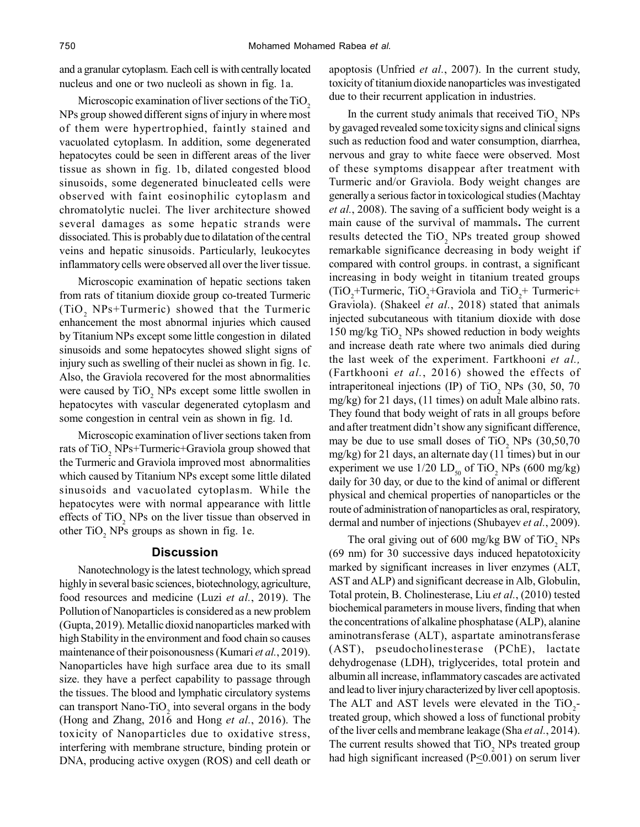and a granular cytoplasm. Each cell is with centrally located nucleus and one or two nucleoli as shown in fig. 1a.

Microscopic examination of liver sections of the  $T_1O<sub>2</sub>$ NPs group showed different signs of injury in where most of them were hypertrophied, faintly stained and vacuolated cytoplasm. In addition, some degenerated hepatocytes could be seen in different areas of the liver tissue as shown in fig. 1b, dilated congested blood sinusoids, some degenerated binucleated cells were observed with faint eosinophilic cytoplasm and chromatolytic nuclei. The liver architecture showed several damages as some hepatic strands were dissociated. This is probably due to dilatation of the central veins and hepatic sinusoids. Particularly, leukocytes inflammatory cells were observed all over the liver tissue.

Microscopic examination of hepatic sections taken from rats of titanium dioxide group co-treated Turmeric  $(TiO_2$  NPs+Turmeric) showed that the Turmeric enhancement the most abnormal injuries which caused by Titanium NPs except some little congestion in dilated sinusoids and some hepatocytes showed slight signs of injury such as swelling of their nuclei as shown in fig. 1c. Also, the Graviola recovered for the most abnormalities were caused by  $TiO<sub>2</sub>$  NPs except some little swollen in hepatocytes with vascular degenerated cytoplasm and some congestion in central vein as shown in fig. 1d.

Microscopic examination of liver sections taken from rats of  $TiO<sub>2</sub>$  NPs+Turmeric+Graviola group showed that the Turmeric and Graviola improved most abnormalities which caused by Titanium NPs except some little dilated sinusoids and vacuolated cytoplasm. While the hepatocytes were with normal appearance with little effects of  $TiO<sub>2</sub>$  NPs on the liver tissue than observed in other  $TiO<sub>2</sub>$  NPs groups as shown in fig. 1e.

# **Discussion**

Nanotechnology is the latest technology, which spread highly in several basic sciences, biotechnology, agriculture, food resources and medicine (Luzi *et al.*, 2019). The Pollution of Nanoparticles is considered as a new problem (Gupta, 2019). Metallic dioxid nanoparticles marked with high Stability in the environment and food chain so causes maintenance of their poisonousness (Kumari *et al.*, 2019). Nanoparticles have high surface area due to its small size. they have a perfect capability to passage through the tissues. The blood and lymphatic circulatory systems can transport Nano-TiO<sub>2</sub> into several organs in the body (Hong and Zhang, 2016 and Hong *et al.*, 2016). The toxicity of Nanoparticles due to oxidative stress, interfering with membrane structure, binding protein or DNA, producing active oxygen (ROS) and cell death or apoptosis (Unfried *et al.*, 2007). In the current study, toxicity of titanium dioxide nanoparticles was investigated due to their recurrent application in industries.

In the current study animals that received  $TiO_2$  NPs by gavaged revealed some toxicity signs and clinical signs such as reduction food and water consumption, diarrhea, nervous and gray to white faece were observed. Most of these symptoms disappear after treatment with Turmeric and/or Graviola. Body weight changes are generally a serious factor in toxicological studies (Machtay *et al.*, 2008). The saving of a sufficient body weight is a main cause of the survival of mammals**.** The current results detected the  $TiO<sub>2</sub>$  NPs treated group showed remarkable significance decreasing in body weight if compared with control groups. in contrast, a significant increasing in body weight in titanium treated groups  $(TIO<sub>2</sub>+Turrence, TiO<sub>2</sub>+Graviola and TiO<sub>2</sub>+Turrence+$ Graviola). (Shakeel *et al.*, 2018) stated that animals injected subcutaneous with titanium dioxide with dose 150 mg/kg  $TiO<sub>2</sub>$  NPs showed reduction in body weights and increase death rate where two animals died during the last week of the experiment. Fartkhooni *et al.,* (Fartkhooni *et al.*, 2016) showed the effects of intraperitoneal injections (IP) of TiO<sub>2</sub> NPs (30, 50, 70 mg/kg) for 21 days, (11 times) on adult Male albino rats. They found that body weight of rats in all groups before and after treatment didn't show any significant difference, may be due to use small doses of  $TiO_2$  NPs  $(30,50,70)$ mg/kg) for 21 days, an alternate day (11 times) but in our experiment we use  $1/20$   $LD_{50}$  of TiO<sub>2</sub> NPs (600 mg/kg) daily for 30 day, or due to the kind of animal or different physical and chemical properties of nanoparticles or the route of administration of nanoparticles as oral, respiratory, dermal and number of injections (Shubayev *et al.*, 2009).

The oral giving out of 600 mg/kg BW of  $TiO_2$  NPs (69 nm) for 30 successive days induced hepatotoxicity marked by significant increases in liver enzymes (ALT, AST and ALP) and significant decrease in Alb, Globulin, Total protein, B. Cholinesterase, Liu *et al.*, (2010) tested biochemical parameters in mouse livers, finding that when the concentrations of alkaline phosphatase (ALP), alanine aminotransferase (ALT), aspartate aminotransferase (AST), pseudocholinesterase (PChE), lactate dehydrogenase (LDH), triglycerides, total protein and albumin all increase, inflammatory cascades are activated and lead to liver injury characterized by liver cell apoptosis. The ALT and AST levels were elevated in the  $TiO_2$ treated group, which showed a loss of functional probity of the liver cells and membrane leakage (Sha *et al.*, 2014). The current results showed that  $TiO<sub>2</sub>$  NPs treated group had high significant increased  $(P \le 0.001)$  on serum liver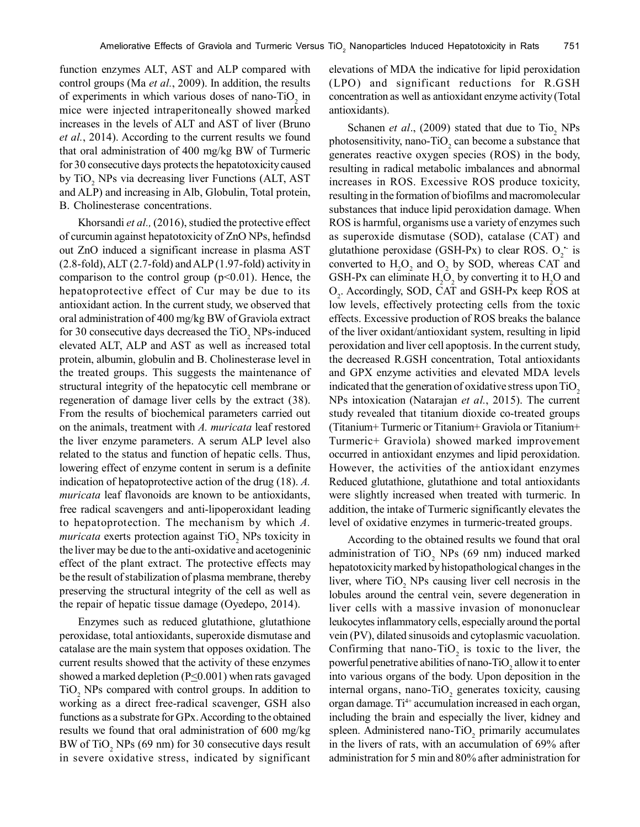function enzymes ALT, AST and ALP compared with control groups (Ma *et al.*, 2009). In addition, the results of experiments in which various doses of nano-TiO<sub>2</sub> in mice were injected intraperitoneally showed marked increases in the levels of ALT and AST of liver (Bruno *et al.*, 2014). According to the current results we found that oral administration of 400 mg/kg BW of Turmeric for 30 consecutive days protects the hepatotoxicity caused by  $TiO<sub>2</sub>$  NPs via decreasing liver Functions (ALT, AST and ALP) and increasing in Alb, Globulin, Total protein, B. Cholinesterase concentrations.

Khorsandi *et al.,* (2016), studied the protective effect of curcumin against hepatotoxicity of ZnO NPs, hefindsd out ZnO induced a significant increase in plasma AST (2.8-fold), ALT (2.7-fold) and ALP (1.97-fold) activity in comparison to the control group  $(p<0.01)$ . Hence, the hepatoprotective effect of Cur may be due to its antioxidant action. In the current study, we observed that oral administration of 400 mg/kg BW of Graviola extract for 30 consecutive days decreased the  $TiO<sub>2</sub>$  NPs-induced elevated ALT, ALP and AST as well as increased total protein, albumin, globulin and B. Cholinesterase level in the treated groups. This suggests the maintenance of structural integrity of the hepatocytic cell membrane or regeneration of damage liver cells by the extract (38). From the results of biochemical parameters carried out on the animals, treatment with *A. muricata* leaf restored the liver enzyme parameters. A serum ALP level also related to the status and function of hepatic cells. Thus, lowering effect of enzyme content in serum is a definite indication of hepatoprotective action of the drug (18). *A. muricata* leaf flavonoids are known to be antioxidants, free radical scavengers and anti-lipoperoxidant leading to hepatoprotection. The mechanism by which *A.*  $muricata$  exerts protection against  $TiO<sub>2</sub>$  NPs toxicity in the liver may be due to the anti-oxidative and acetogeninic effect of the plant extract. The protective effects may be the result of stabilization of plasma membrane, thereby preserving the structural integrity of the cell as well as the repair of hepatic tissue damage (Oyedepo, 2014).

Enzymes such as reduced glutathione, glutathione peroxidase, total antioxidants, superoxide dismutase and catalase are the main system that opposes oxidation. The current results showed that the activity of these enzymes showed a marked depletion ( $P \le 0.001$ ) when rats gavaged  $TiO<sub>2</sub>$  NPs compared with control groups. In addition to working as a direct free-radical scavenger, GSH also functions as a substrate for GPx. According to the obtained results we found that oral administration of 600 mg/kg BW of  $TiO<sub>2</sub>$  NPs (69 nm) for 30 consecutive days result in severe oxidative stress, indicated by significant elevations of MDA the indicative for lipid peroxidation (LPO) and significant reductions for R.GSH concentration as well as antioxidant enzyme activity (Total antioxidants).

Schanen *et al.*, (2009) stated that due to  $\text{TiO}_2$  NPs photosensitivity, nano-TiO<sub>2</sub> can become a substance that generates reactive oxygen species (ROS) in the body, resulting in radical metabolic imbalances and abnormal increases in ROS. Excessive ROS produce toxicity, resulting in the formation of biofilms and macromolecular substances that induce lipid peroxidation damage. When ROS is harmful, organisms use a variety of enzymes such as superoxide dismutase (SOD), catalase (CAT) and glutathione peroxidase (GSH-Px) to clear ROS.  $O_2$  is converted to  $H_2O_2$  and  $O_2$  by SOD, whereas CAT and GSH-Px can eliminate  $H_2O_2$  by converting it to  $H_2O$  and  $O_2$ . Accordingly, SOD, CAT and GSH-Px keep ROS at low levels, effectively protecting cells from the toxic effects. Excessive production of ROS breaks the balance of the liver oxidant/antioxidant system, resulting in lipid peroxidation and liver cell apoptosis. In the current study, the decreased R.GSH concentration, Total antioxidants and GPX enzyme activities and elevated MDA levels indicated that the generation of oxidative stress upon  $TiO<sub>2</sub>$ NPs intoxication (Natarajan *et al.*, 2015). The current study revealed that titanium dioxide co-treated groups (Titanium+ Turmeric or Titanium+ Graviola or Titanium+ Turmeric+ Graviola) showed marked improvement occurred in antioxidant enzymes and lipid peroxidation. However, the activities of the antioxidant enzymes Reduced glutathione, glutathione and total antioxidants were slightly increased when treated with turmeric. In addition, the intake of Turmeric significantly elevates the level of oxidative enzymes in turmeric-treated groups.

According to the obtained results we found that oral administration of TiO<sub>2</sub> NPs (69 nm) induced marked hepatotoxicity marked by histopathological changes in the liver, where  $TiO<sub>2</sub>$  NPs causing liver cell necrosis in the lobules around the central vein, severe degeneration in liver cells with a massive invasion of mononuclear leukocytes inflammatory cells, especially around the portal vein (PV), dilated sinusoids and cytoplasmic vacuolation. Confirming that nano-TiO<sub>2</sub> is toxic to the liver, the powerful penetrative abilities of nano-TiO<sub>2</sub> allow it to enter into various organs of the body. Upon deposition in the internal organs, nano-TiO<sub>2</sub> generates toxicity, causing organ damage.  $Ti<sup>4+</sup>$  accumulation increased in each organ, including the brain and especially the liver, kidney and spleen. Administered nano-TiO<sub>2</sub> primarily accumulates in the livers of rats, with an accumulation of 69% after administration for 5 min and 80% after administration for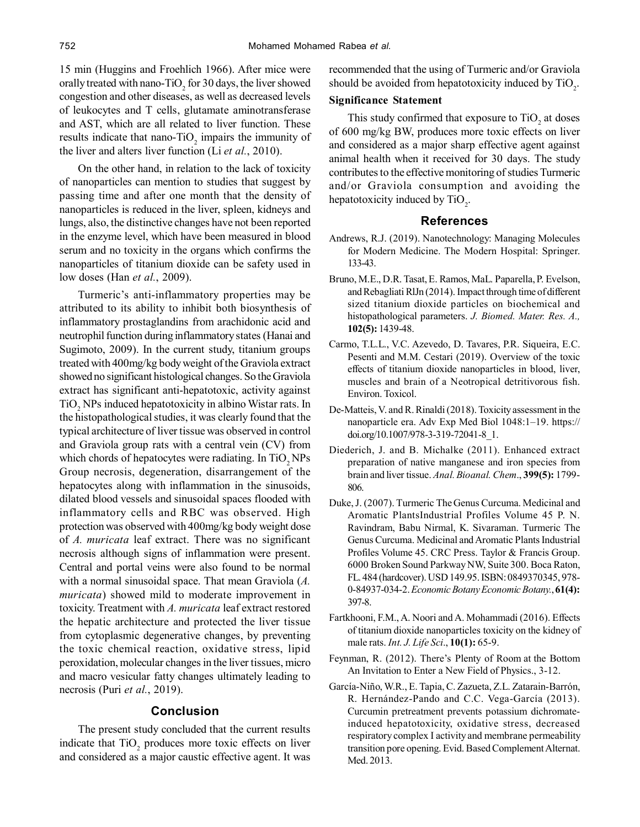15 min (Huggins and Froehlich 1966). After mice were orally treated with nano-TiO<sub>2</sub> for 30 days, the liver showed congestion and other diseases, as well as decreased levels of leukocytes and T cells, glutamate aminotransferase and AST, which are all related to liver function. These results indicate that nano- $TiO<sub>2</sub>$  impairs the immunity of the liver and alters liver function (Li *et al.*, 2010).

On the other hand, in relation to the lack of toxicity of nanoparticles can mention to studies that suggest by passing time and after one month that the density of nanoparticles is reduced in the liver, spleen, kidneys and lungs, also, the distinctive changes have not been reported in the enzyme level, which have been measured in blood serum and no toxicity in the organs which confirms the nanoparticles of titanium dioxide can be safety used in low doses (Han *et al.*, 2009).

Turmeric's anti-inflammatory properties may be attributed to its ability to inhibit both biosynthesis of inflammatory prostaglandins from arachidonic acid and neutrophil function during inflammatory states (Hanai and Sugimoto, 2009). In the current study, titanium groups treated with 400mg/kg body weight of the Graviola extract showed no significant histological changes. So the Graviola extract has significant anti-hepatotoxic, activity against  $TiO<sub>2</sub>$  NPs induced hepatotoxicity in albino Wistar rats. In the histopathological studies, it was clearly found that the typical architecture of liver tissue was observed in control and Graviola group rats with a central vein (CV) from which chords of hepatocytes were radiating. In  $TiO<sub>2</sub>NPs$ Group necrosis, degeneration, disarrangement of the hepatocytes along with inflammation in the sinusoids, dilated blood vessels and sinusoidal spaces flooded with inflammatory cells and RBC was observed. High protection was observed with 400mg/kg body weight dose of *A. muricata* leaf extract. There was no significant necrosis although signs of inflammation were present. Central and portal veins were also found to be normal with a normal sinusoidal space. That mean Graviola (*A. muricata*) showed mild to moderate improvement in toxicity. Treatment with *A. muricata* leaf extract restored the hepatic architecture and protected the liver tissue from cytoplasmic degenerative changes, by preventing the toxic chemical reaction, oxidative stress, lipid peroxidation, molecular changes in the liver tissues, micro and macro vesicular fatty changes ultimately leading to necrosis (Puri *et al.*, 2019).

# **Conclusion**

The present study concluded that the current results indicate that  $TiO<sub>2</sub>$  produces more toxic effects on liver and considered as a major caustic effective agent. It was recommended that the using of Turmeric and/or Graviola should be avoided from hepatotoxicity induced by  $TiO<sub>2</sub>$ .

# **Significance Statement**

This study confirmed that exposure to  $TiO<sub>2</sub>$  at doses of 600 mg/kg BW, produces more toxic effects on liver and considered as a major sharp effective agent against animal health when it received for 30 days. The study contributes to the effective monitoring of studies Turmeric and/or Graviola consumption and avoiding the hepatotoxicity induced by  $TiO<sub>2</sub>$ .

#### **References**

- Andrews, R.J. (2019). Nanotechnology: Managing Molecules for Modern Medicine. The Modern Hospital: Springer. 133-43.
- Bruno, M.E., D.R. Tasat, E. Ramos, MaL. Paparella, P. Evelson, and Rebagliati RlJn (2014). Impact through time of different sized titanium dioxide particles on biochemical and histopathological parameters. *J. Biomed. Mater. Res. A.,* **102(5):** 1439-48.
- Carmo, T.L.L., V.C. Azevedo, D. Tavares, P.R. Siqueira, E.C. Pesenti and M.M. Cestari (2019). Overview of the toxic effects of titanium dioxide nanoparticles in blood, liver, muscles and brain of a Neotropical detritivorous fish. Environ. Toxicol.
- De-Matteis, V. and R. Rinaldi (2018). Toxicity assessment in the nanoparticle era. Adv Exp Med Biol 1048:1–19. https:// doi.org/10.1007/978-3-319-72041-8\_1.
- Diederich, J. and B. Michalke (2011). Enhanced extract preparation of native manganese and iron species from brain and liver tissue. *Anal. Bioanal. Chem*., **399(5):** 1799- 806.
- Duke, J. (2007). Turmeric The Genus Curcuma. Medicinal and Aromatic PlantsIndustrial Profiles Volume 45 P. N. Ravindram, Babu Nirmal, K. Sivaraman. Turmeric The Genus Curcuma. Medicinal and Aromatic Plants Industrial Profiles Volume 45. CRC Press. Taylor & Francis Group. 6000 Broken Sound Parkway NW, Suite 300. Boca Raton, FL. 484 (hardcover). USD 149.95. ISBN: 0849370345, 978- 0-84937-034-2. *Economic Botany Economic Botany.*, **61(4):** 397-8.
- Fartkhooni, F.M., A. Noori and A. Mohammadi (2016). Effects of titanium dioxide nanoparticles toxicity on the kidney of male rats. *Int. J. Life Sci*., **10(1):** 65-9.
- Feynman, R. (2012). There's Plenty of Room at the Bottom An Invitation to Enter a New Field of Physics., 3-12.
- García-Niño, W.R., E. Tapia, C. Zazueta, Z.L. Zatarain-Barrón, R. Hernández-Pando and C.C. Vega-García (2013). Curcumin pretreatment prevents potassium dichromateinduced hepatotoxicity, oxidative stress, decreased respiratory complex I activity and membrane permeability transition pore opening. Evid. Based Complement Alternat. Med. 2013.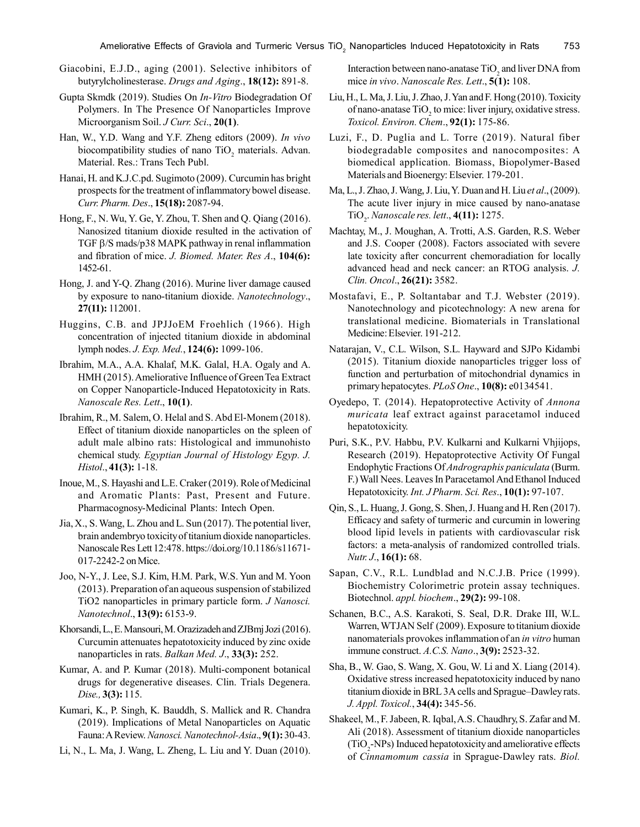- Giacobini, E.J.D., aging (2001). Selective inhibitors of butyrylcholinesterase. *Drugs and Aging*., **18(12):** 891-8.
- Gupta Skmdk (2019). Studies On *In-Vitro* Biodegradation Of Polymers. In The Presence Of Nanoparticles Improve Microorganism Soil. *J Curr. Sci*., **20(1)**.
- Han, W., Y.D. Wang and Y.F. Zheng editors (2009). *In vivo* biocompatibility studies of nano  $TiO<sub>2</sub>$  materials. Advan. Material. Res.: Trans Tech Publ.
- Hanai, H. and K.J.C.pd. Sugimoto (2009). Curcumin has bright prospects for the treatment of inflammatory bowel disease. *Curr. Pharm. Des*., **15(18):** 2087-94.
- Hong, F., N. Wu, Y. Ge, Y. Zhou, T. Shen and Q. Qiang (2016). Nanosized titanium dioxide resulted in the activation of TGF  $\beta$ /S mads/p38 MAPK pathway in renal inflammation and fibration of mice. *J. Biomed. Mater. Res A*., **104(6):** 1452-61.
- Hong, J. and Y-Q. Zhang (2016). Murine liver damage caused by exposure to nano-titanium dioxide. *Nanotechnology*., **27(11):** 112001.
- Huggins, C.B. and JPJJoEM Froehlich (1966). High concentration of injected titanium dioxide in abdominal lymph nodes. *J. Exp. Med.*, **124(6):** 1099-106.
- Ibrahim, M.A., A.A. Khalaf, M.K. Galal, H.A. Ogaly and A. HMH (2015). Ameliorative Influence of Green Tea Extract on Copper Nanoparticle-Induced Hepatotoxicity in Rats. *Nanoscale Res. Lett*., **10(1)**.
- Ibrahim, R., M. Salem, O. Helal and S. Abd El-Monem (2018). Effect of titanium dioxide nanoparticles on the spleen of adult male albino rats: Histological and immunohisto chemical study. *Egyptian Journal of Histology Egyp. J. Histol*., **41(3):** 1-18.
- Inoue, M., S. Hayashi and L.E. Craker (2019). Role of Medicinal and Aromatic Plants: Past, Present and Future. Pharmacognosy-Medicinal Plants: Intech Open.
- Jia, X., S. Wang, L. Zhou and L. Sun (2017). The potential liver, brain andembryo toxicity of titanium dioxide nanoparticles. Nanoscale Res Lett 12:478. https://doi.org/10.1186/s11671- 017-2242-2 on Mice.
- Joo, N-Y., J. Lee, S.J. Kim, H.M. Park, W.S. Yun and M. Yoon (2013). Preparation of an aqueous suspension of stabilized TiO2 nanoparticles in primary particle form. *J Nanosci. Nanotechnol*., **13(9):** 6153-9.
- Khorsandi, L., E. Mansouri, M. Orazizadeh and ZJBmj Jozi (2016). Curcumin attenuates hepatotoxicity induced by zinc oxide nanoparticles in rats. *Balkan Med. J*., **33(3):** 252.
- Kumar, A. and P. Kumar (2018). Multi-component botanical drugs for degenerative diseases. Clin. Trials Degenera. *Dise.,* **3(3):** 115.
- Kumari, K., P. Singh, K. Bauddh, S. Mallick and R. Chandra (2019). Implications of Metal Nanoparticles on Aquatic Fauna: A Review. *Nanosci. Nanotechnol-Asia*., **9(1):** 30-43.
- Li, N., L. Ma, J. Wang, L. Zheng, L. Liu and Y. Duan (2010).

Interaction between nano-anatase  $TiO_2$  and liver DNA from mice *in vivo*. *Nanoscale Res. Lett*., **5(1):** 108.

- Liu, H., L. Ma, J. Liu, J. Zhao, J. Yan and F. Hong (2010). Toxicity of nano-anatase  $TiO<sub>2</sub>$  to mice: liver injury, oxidative stress. *Toxicol. Environ. Chem*., **92(1):** 175-86.
- Luzi, F., D. Puglia and L. Torre (2019). Natural fiber biodegradable composites and nanocomposites: A biomedical application. Biomass, Biopolymer-Based Materials and Bioenergy: Elsevier. 179-201.
- Ma, L., J. Zhao, J. Wang, J. Liu, Y. Duan and H. Liu *et al*., (2009). The acute liver injury in mice caused by nano-anatase TiO<sup>2</sup> . *Nanoscale res. lett*., **4(11):** 1275.
- Machtay, M., J. Moughan, A. Trotti, A.S. Garden, R.S. Weber and J.S. Cooper (2008). Factors associated with severe late toxicity after concurrent chemoradiation for locally advanced head and neck cancer: an RTOG analysis. *J. Clin. Oncol*., **26(21):** 3582.
- Mostafavi, E., P. Soltantabar and T.J. Webster (2019). Nanotechnology and picotechnology: A new arena for translational medicine. Biomaterials in Translational Medicine: Elsevier. 191-212.
- Natarajan, V., C.L. Wilson, S.L. Hayward and SJPo Kidambi (2015). Titanium dioxide nanoparticles trigger loss of function and perturbation of mitochondrial dynamics in primary hepatocytes. *PLoS One*., **10(8):** e0134541.
- Oyedepo, T. (2014). Hepatoprotective Activity of *Annona muricata* leaf extract against paracetamol induced hepatotoxicity.
- Puri, S.K., P.V. Habbu, P.V. Kulkarni and Kulkarni Vhjijops, Research (2019). Hepatoprotective Activity Of Fungal Endophytic Fractions Of *Andrographis paniculata* (Burm. F.) Wall Nees. Leaves In Paracetamol And Ethanol Induced Hepatotoxicity. *Int. J Pharm. Sci. Res*., **10(1):** 97-107.
- Qin, S., L. Huang, J. Gong, S. Shen, J. Huang and H. Ren (2017). Efficacy and safety of turmeric and curcumin in lowering blood lipid levels in patients with cardiovascular risk factors: a meta-analysis of randomized controlled trials. *Nutr. J*., **16(1):** 68.
- Sapan, C.V., R.L. Lundblad and N.C.J.B. Price (1999). Biochemistry Colorimetric protein assay techniques. Biotechnol. *appl. biochem*., **29(2):** 99-108.
- Schanen, B.C., A.S. Karakoti, S. Seal, D.R. Drake III, W.L. Warren, WTJAN Self (2009). Exposure to titanium dioxide nanomaterials provokes inflammation of an *in vitro* human immune construct. *A.C.S. Nano*., **3(9):** 2523-32.
- Sha, B., W. Gao, S. Wang, X. Gou, W. Li and X. Liang (2014). Oxidative stress increased hepatotoxicity induced by nano titanium dioxide in BRL3A cells and Sprague–Dawley rats. *J. Appl. Toxicol.*, **34(4):** 345-56.
- Shakeel, M., F. Jabeen, R. Iqbal, A.S. Chaudhry, S. Zafar and M. Ali (2018). Assessment of titanium dioxide nanoparticles  $(TiO<sub>2</sub>-NPs)$  Induced hepatotoxicity and ameliorative effects of *Cinnamomum cassia* in Sprague-Dawley rats. *Biol.*